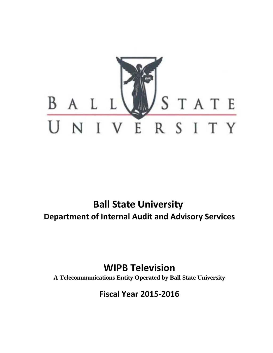

# **Ball State University Department of Internal Audit and Advisory Services**

# **WIPB Television**

**A Telecommunications Entity Operated by Ball State University**

**Fiscal Year 2015‐2016**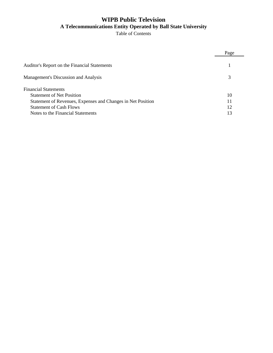# **WIPB Public Television A Telecommunications Entity Operated by Ball State University**

Table of Contents

|                                                             | Page |
|-------------------------------------------------------------|------|
| Auditor's Report on the Financial Statements                |      |
| Management's Discussion and Analysis                        | 3    |
| <b>Financial Statements</b>                                 |      |
| <b>Statement of Net Position</b>                            | 10   |
| Statement of Revenues, Expenses and Changes in Net Position | 11   |
| <b>Statement of Cash Flows</b>                              | 12   |
| Notes to the Financial Statements                           | 13   |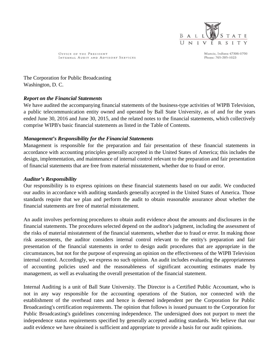

OFFICE OF THE PRESIDENT INTERNAL AUDIT AND ADVISORY SERVICES Muncie, Indiana 47306-0700 Phone: 765-285-1023

The Corporation for Public Broadcasting Washington, D. C.

### *Report on the Financial Statements*

We have audited the accompanying financial statements of the business-type activities of WIPB Television, a public telecommunication entity owned and operated by Ball State University, as of and for the years ended June 30, 2016 and June 30, 2015, and the related notes to the financial statements, which collectively comprise WIPB's basic financial statements as listed in the Table of Contents.

### *Management's Responsibility for the Financial Statements*

Management is responsible for the preparation and fair presentation of these financial statements in accordance with accounting principles generally accepted in the United States of America; this includes the design, implementation, and maintenance of internal control relevant to the preparation and fair presentation of financial statements that are free from material misstatement, whether due to fraud or error.

#### *Auditor's Responsibility*

Our responsibility is to express opinions on these financial statements based on our audit. We conducted our audits in accordance with auditing standards generally accepted in the United States of America. Those standards require that we plan and perform the audit to obtain reasonable assurance about whether the financial statements are free of material misstatement.

An audit involves performing procedures to obtain audit evidence about the amounts and disclosures in the financial statements. The procedures selected depend on the auditor's judgment, including the assessment of the risks of material misstatement of the financial statements, whether due to fraud or error. In making those risk assessments, the auditor considers internal control relevant to the entity's preparation and fair presentation of the financial statements in order to design audit procedures that are appropriate in the circumstances, but not for the purpose of expressing an opinion on the effectiveness of the WIPB Television internal control. Accordingly, we express no such opinion. An audit includes evaluating the appropriateness of accounting policies used and the reasonableness of significant accounting estimates made by management, as well as evaluating the overall presentation of the financial statement.

Internal Auditing is a unit of Ball State University. The Director is a Certified Public Accountant, who is not in any way responsible for the accounting operations of the Station, nor connected with the establishment of the overhead rates and hence is deemed independent per the Corporation for Public Broadcasting's certification requirements. The opinion that follows is issued pursuant to the Corporation for Public Broadcasting's guidelines concerning independence. The undersigned does not purport to meet the independence status requirements specified by generally accepted auditing standards. We believe that our audit evidence we have obtained is sufficient and appropriate to provide a basis for our audit opinions.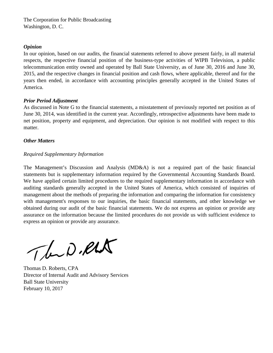The Corporation for Public Broadcasting Washington, D. C.

#### *Opinion*

In our opinion, based on our audits, the financial statements referred to above present fairly, in all material respects, the respective financial position of the business-type activities of WIPB Television, a public telecommunication entity owned and operated by Ball State University, as of June 30, 2016 and June 30, 2015, and the respective changes in financial position and cash flows, where applicable, thereof and for the years then ended, in accordance with accounting principles generally accepted in the United States of America.

#### *Prior Period Adjustment*

As discussed in Note G to the financial statements, a misstatement of previously reported net position as of June 30, 2014, was identified in the current year. Accordingly, retrospective adjustments have been made to net position, property and equipment, and depreciation. Our opinion is not modified with respect to this matter.

#### *Other Matters*

#### *Required Supplementary Information*

The Management's Discussion and Analysis (MD&A) is not a required part of the basic financial statements but is supplementary information required by the Governmental Accounting Standards Board. We have applied certain limited procedures to the required supplementary information in accordance with auditing standards generally accepted in the United States of America, which consisted of inquiries of management about the methods of preparing the information and comparing the information for consistency with management's responses to our inquiries, the basic financial statements, and other knowledge we obtained during our audit of the basic financial statements. We do not express an opinion or provide any assurance on the information because the limited procedures do not provide us with sufficient evidence to express an opinion or provide any assurance.

The D.RLX

Thomas D. Roberts, CPA Director of Internal Audit and Advisory Services Ball State University February 10, 2017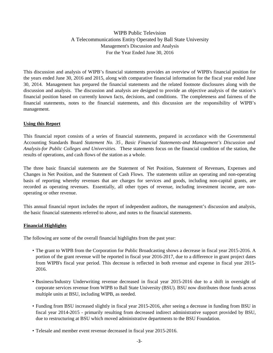This discussion and analysis of WIPB's financial statements provides an overview of WIPB's financial position for the years ended June 30, 2016 and 2015, along with comparative financial information for the fiscal year ended June 30, 2014. Management has prepared the financial statements and the related footnote disclosures along with the discussion and analysis. The discussion and analysis are designed to provide an objective analysis of the station's financial position based on currently known facts, decisions, and conditions. The completeness and fairness of the financial statements, notes to the financial statements, and this discussion are the responsibility of WIPB's management.

#### **Using this Report**

This financial report consists of a series of financial statements, prepared in accordance with the Governmental Accounting Standards Board *Statement No. 35* , *Basic Financial Statements-and Management's Discussion and Analysis-for Public Colleges and Universities.* These statements focus on the financial condition of the station, the results of operations, and cash flows of the station as a whole.

The three basic financial statements are the Statement of Net Position, Statement of Revenues, Expenses and Changes in Net Position, and the Statement of Cash Flows. The statements utilize an operating and non-operating basis of reporting whereby revenues that are charges for services and goods, including non-capital grants, are recorded as operating revenues. Essentially, all other types of revenue, including investment income, are nonoperating or other revenue.

This annual financial report includes the report of independent auditors, the management's discussion and analysis, the basic financial statements referred to above, and notes to the financial statements.

#### **Financial Highlights**

The following are some of the overall financial highlights from the past year:

- The grant to WIPB from the Corporation for Public Broadcasting shows a decrease in fiscal year 2015-2016. A portion of the grant revenue will be reported in fiscal year 2016-2017, due to a difference in grant project dates from WIPB's fiscal year period. This decrease is reflected in both revenue and expense in fiscal year 2015- 2016.
- Business/Industry Underwriting revenue decreased in fiscal year 2015-2016 due to a shift in oversight of corporate services revenue from WIPB to Ball State University (BSU). BSU now distributes those funds across multiple units at BSU, including WIPB, as needed.
- Funding from BSU increased slightly in fiscal year 2015-2016, after seeing a decrease in funding from BSU in fiscal year 2014-2015 - primarily resulting from decreased indirect administrative support provided by BSU, due to restructuring at BSU which moved administrative departments to the BSU Foundation.
- Telesale and member event revenue decreased in fiscal year 2015-2016.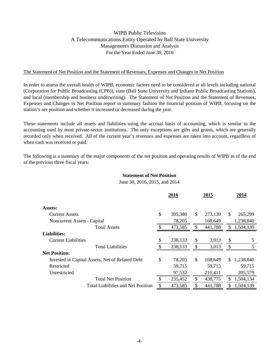#### The Statement of Net Position and the Statement of Revenues, Expenses and Changes in Net Position

In order to assess the overall health of WIPB, economic factors need to be considered at all levels including national (Corporation for Public Broadcasting (CPB)), state (Ball State University and Indiana Public Broadcasting Stations), and local (membership and business underwriting). The Statement of Net Position and the Statement of Revenues, Expenses and Changes in Net Position report in summary fashion the financial position of WIPB, focusing on the station's net position and whether it increased or decreased during the year.

These statements include all assets and liabilities using the accrual basis of accounting, which is similar to the accounting used by most private-sector institutions. The only exceptions are gifts and grants, which are generally recorded only when received. All of the current year's revenues and expenses are taken into account, regardless of when cash was received or paid.

The following is a summary of the major components of the net position and operating results of WIPB as of the end of the previous three fiscal years:

#### **Statement of Net Position**

June 30, 2016, 2015, and 2014

|                                                 | 2016 |         | 2015          |         |     | 2014      |
|-------------------------------------------------|------|---------|---------------|---------|-----|-----------|
| Assets:                                         |      |         |               |         |     |           |
| <b>Current Assets</b>                           | \$   | 395,380 | \$            | 273,139 | \$  | 265,299   |
| Noncurrent Assets - Capital                     |      | 78,205  |               | 168,649 |     | 1,238,840 |
| <b>Total Assets</b>                             |      | 473,585 | \$            | 441,788 | \$  | 1,504,139 |
| <b>Liabilities:</b>                             |      |         |               |         |     |           |
| <b>Current Liabilities</b>                      | \$   | 238,133 | \$            | 3,013   | \$  | 5         |
| <b>Total Liabilities</b>                        | \$   | 238,133 | $\mathcal{S}$ | 3,013   | \$  | 5         |
| <b>Net Position:</b>                            |      |         |               |         |     |           |
| Invested in Capital Assets, Net of Related Debt | \$   | 78,205  | \$            | 168,649 | \$. | 1,238,840 |
| Restricted                                      |      | 59,715  |               | 59,715  |     | 59,715    |
| Unrestricted                                    |      | 97,532  |               | 210,411 |     | 205,579   |
| <b>Total Net Position</b>                       |      | 235,452 | \$.           | 438,775 |     | 1,504,134 |
| <b>Total Liabilities and Net Position</b>       |      | 473,585 |               | 441,788 | S   | 1,504,139 |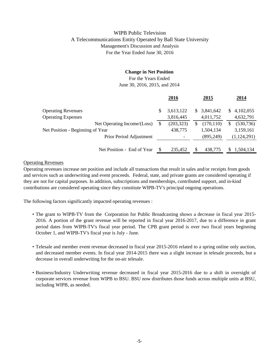#### **Change in Net Position**

For the Years Ended June 30, 2016, 2015, and 2014

|   | 2016       |    | 2015       |             | 2014        |
|---|------------|----|------------|-------------|-------------|
| S | 3,613,122  |    |            | S.          | 4,102,055   |
|   | 3,816,445  |    | 4,011,752  |             | 4,632,791   |
|   | (203, 323) |    | (170, 110) |             | (530, 736)  |
|   | 438,775    |    | 1,504,134  |             | 3,159,161   |
|   |            |    | (895, 249) |             | (1,124,291) |
|   |            |    |            |             |             |
|   | 235,452    | £. | 438,775    |             | 1,504,134   |
|   |            |    |            | \$3,841,642 |             |

#### Operating Revenues

Operating revenues increase net position and include all transactions that result in sales and/or receipts from goods and services such as underwriting and event proceeds. Federal, state, and private grants are considered operating if they are not for capital purposes. In addition, subscriptions and memberships, contributed support, and in-kind contributions are considered operating since they constitute WIPB-TV's principal ongoing operations.

The following factors significantly impacted operating revenues :

- The grant to WIPB-TV from the Corporation for Public Broadcasting shows a decrease in fiscal year 2015- 2016. A portion of the grant revenue will be reported in fiscal year 2016-2017, due to a difference in grant period dates from WIPB-TV's fiscal year period. The CPB grant period is over two fiscal years beginning October 1, and WIPB-TV's fiscal year is July - June.
- Telesale and member event revenue decreased in fiscal year 2015-2016 related to a spring online only auction, and decreased member events. In fiscal year 2014-2015 there was a slight increase in telesale proceeds, but a decrease in overall underwriting for the on-air telesale.
- Business/Industry Underwriting revenue decreased in fiscal year 2015-2016 due to a shift in oversight of corporate services revenue from WIPB to BSU. BSU now distributes those funds across multiple units at BSU, including WIPB, as needed.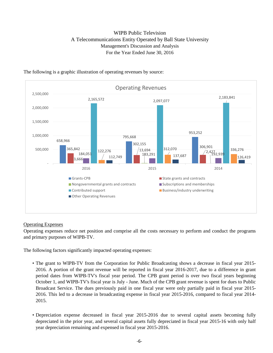

#### The following is a graphic illustration of operating revenues by source:

#### Operating Expenses

Operating expenses reduce net position and comprise all the costs necessary to perform and conduct the programs and primary purposes of WIPB-TV.

The following factors significantly impacted operating expenses:

- The grant to WIPB-TV from the Corporation for Public Broadcasting shows a decrease in fiscal year 2015- 2016. A portion of the grant revenue will be reported in fiscal year 2016-2017, due to a difference in grant period dates from WIPB-TV's fiscal year period. The CPB grant period is over two fiscal years beginning October 1, and WIPB-TV's fiscal year is July - June. Much of the CPB grant revenue is spent for dues to Public Broadcast Service. The dues previously paid in one fiscal year were only partially paid in fiscal year 2015- 2016. This led to a decrease in broadcasting expense in fiscal year 2015-2016, compared to fiscal year 2014- 2015.
- Depreciation expense decreased in fiscal year 2015-2016 due to several capital assets becoming fully depreciated in the prior year, and several capital assets fully depreciated in fiscal year 2015-16 with only half year depreciation remaining and expensed in fiscal year 2015-2016.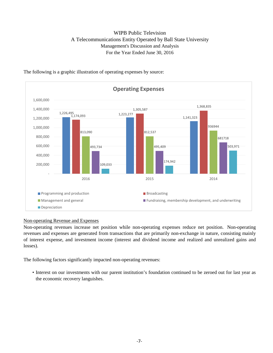

The following is a graphic illustration of operating expenses by source:

#### Non-operating Revenue and Expenses

Non-operating revenues increase net position while non-operating expenses reduce net position. Non-operating revenues and expenses are generated from transactions that are primarily non-exchange in nature, consisting mainly of interest expense, and investment income (interest and dividend income and realized and unrealized gains and losses).

The following factors significantly impacted non-operating revenues:

• Interest on our investments with our parent institution's foundation continued to be zeroed out for last year as the economic recovery languishes.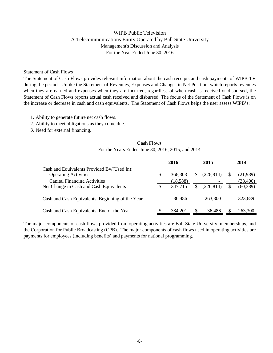#### Statement of Cash Flows

The Statement of Cash Flows provides relevant information about the cash receipts and cash payments of WIPB-TV during the period. Unlike the Statement of Revenues, Expenses and Changes in Net Position, which reports revenues when they are earned and expenses when they are incurred, regardless of when cash is received or disbursed, the Statement of Cash Flows reports actual cash received and disbursed. The focus of the Statement of Cash Flows is on the increase or decrease in cash and cash equivalents. The Statement of Cash Flows helps the user assess WIPB's:

- 1. Ability to generate future net cash flows.
- 2. Ability to meet obligations as they come due.
- 3. Need for external financing.

#### **Cash Flows**

#### For the Years Ended June 30, 2016, 2015, and 2014

|                                                                            | 2016 |          | 2015             | 2014      |
|----------------------------------------------------------------------------|------|----------|------------------|-----------|
| Cash and Equivalents Provided By/(Used In):<br><b>Operating Activities</b> | S    | 366,303  | (226, 814)       | (21,989)  |
| <b>Capital Financing Activities</b>                                        |      | (18,588) |                  | (38, 400) |
| Net Change in Cash and Cash Equivalents                                    |      | 347.715  | \$<br>(226, 814) | (60, 389) |
| Cash and Cash Equivalents–Beginning of the Year                            |      | 36,486   | 263,300          | 323,689   |
| Cash and Cash Equivalents-End of the Year                                  |      | 384,201  | 36,486           | 263,300   |

The major components of cash flows provided from operating activities are Ball State University, memberships, and the Corporation for Public Broadcasting (CPB). The major components of cash flows used in operating activities are payments for employees (including benefits) and payments for national programming.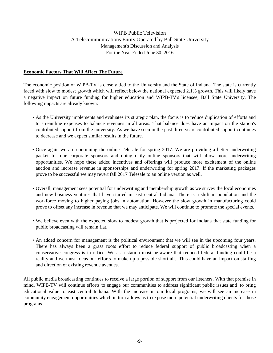#### **Economic Factors That Will Affect The Future**

The economic position of WIPB-TV is closely tied to the University and the State of Indiana. The state is currently faced with slow to modest growth which will reflect below the national expected 2.1% growth. This will likely have a negative impact on future funding for higher education and WIPB-TV's licensee, Ball State University. The following impacts are already known:

- As the University implements and evaluates its strategic plan, the focus is to reduce duplication of efforts and to streamline expenses to balance revenues in all areas. That balance does have an impact on the station's contributed support from the university. As we have seen in the past three years contributed support continues to decrease and we expect similar results in the future.
- Once again we are continuing the online Telesale for spring 2017. We are providing a better underwriting packet for our corporate sponsors and doing daily online sponsors that will allow more underwriting opportunities. We hope these added incentives and offerings will produce more excitement of the online auction and increase revenue in sponsorships and underwriting for spring 2017. If the marketing packages prove to be successful we may revert fall 2017 Telesale to an online version as well.
- Overall, management sees potential for underwriting and membership growth as we survey the local economies and new business ventures that have started in east central Indiana. There is a shift in population and the workforce moving to higher paying jobs in automation. However the slow growth in manufacturing could prove to offset any increase in revenue that we may anticipate. We will continue to promote the special events.
- We believe even with the expected slow to modest growth that is projected for Indiana that state funding for public broadcasting will remain flat.
- An added concern for management is the political environment that we will see in the upcoming four years. There has always been a grass roots effort to reduce federal support of public broadcasting when a conservative congress is in office. We as a station must be aware that reduced federal funding could be a reality and we must focus our efforts to make up a possible shortfall. This could have an impact on staffing and direction of existing revenue avenues.

All public media broadcasting continues to receive a large portion of support from our listeners. With that premise in mind, WIPB-TV will continue efforts to engage our communities to address significant public issues and to bring educational value to east central Indiana. With the increase in our local programs, we will see an increase in community engagement opportunities which in turn allows us to expose more potential underwriting clients for those programs.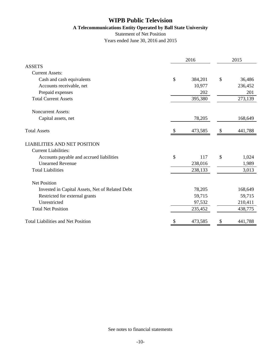# **A Telecommunications Entity Operated by Ball State University**

Statement of Net Position

Years ended June 30, 2016 and 2015

|                                                 | 2016          | 2015  |         |  |
|-------------------------------------------------|---------------|-------|---------|--|
| <b>ASSETS</b>                                   |               |       |         |  |
| <b>Current Assets:</b>                          |               |       |         |  |
| Cash and cash equivalents                       | \$<br>384,201 | \$    | 36,486  |  |
| Accounts receivable, net                        | 10,977        |       | 236,452 |  |
| Prepaid expenses                                | 202           |       | 201     |  |
| <b>Total Current Assets</b>                     | 395,380       |       | 273,139 |  |
| <b>Noncurrent Assets:</b>                       |               |       |         |  |
| Capital assets, net                             | 78,205        |       | 168,649 |  |
| <b>Total Assets</b>                             | 473,585       | S     | 441,788 |  |
| <b>LIABILITIES AND NET POSITION</b>             |               |       |         |  |
| <b>Current Liabilities:</b>                     |               |       |         |  |
| Accounts payable and accrued liabilities        | \$<br>117     | \$    | 1,024   |  |
| <b>Unearned Revenue</b>                         | 238,016       |       | 1,989   |  |
| <b>Total Liabilities</b>                        | 238,133       | 3,013 |         |  |
| <b>Net Position</b>                             |               |       |         |  |
| Invested in Capital Assets, Net of Related Debt | 78,205        |       | 168,649 |  |
| Restricted for external grants                  | 59,715        |       | 59,715  |  |
| Unrestricted                                    | 97,532        |       | 210,411 |  |
| <b>Total Net Position</b>                       | 235,452       |       | 438,775 |  |
| <b>Total Liabilities and Net Position</b>       | \$<br>473,585 | \$    | 441,788 |  |

See notes to financial statements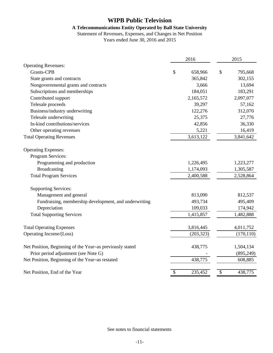# **A Telecommunications Entity Operated by Ball State University**

Statement of Revenues, Expenses, and Changes in Net Position

Years ended June 30, 2016 and 2015

|                                                          | 2016 |            |    | 2015       |
|----------------------------------------------------------|------|------------|----|------------|
| <b>Operating Revenues:</b>                               |      |            |    |            |
| Grants-CPB                                               | \$   | 658,966    | \$ | 795,668    |
| State grants and contracts                               |      | 365,842    |    | 302,155    |
| Nongovernmental grants and contracts                     |      | 3,666      |    | 13,694     |
| Subscriptions and memberships                            |      | 184,051    |    | 183,291    |
| Contributed support                                      |      | 2,165,572  |    | 2,097,077  |
| Telesale proceeds                                        |      | 39,297     |    | 57,162     |
| Business/industry underwriting                           |      | 122,276    |    | 312,070    |
| Telesale underwriting                                    |      | 25,375     |    | 27,776     |
| In-kind contributions/services                           |      | 42,856     |    | 36,330     |
| Other operating revenues                                 |      | 5,221      |    | 16,419     |
| <b>Total Operating Revenues</b>                          |      | 3,613,122  |    | 3,841,642  |
| <b>Operating Expenses:</b>                               |      |            |    |            |
| Program Services:                                        |      |            |    |            |
| Programming and production                               |      | 1,226,495  |    | 1,223,277  |
| Broadcasting                                             |      | 1,174,093  |    | 1,305,587  |
| <b>Total Program Services</b>                            |      | 2,400,588  |    | 2,528,864  |
| <b>Supporting Services:</b>                              |      |            |    |            |
| Management and general                                   |      | 813,090    |    | 812,537    |
| Fundraising, membership development, and underwriting    |      | 493,734    |    | 495,409    |
| Depreciation                                             |      | 109,033    |    | 174,942    |
| <b>Total Supporting Services</b>                         |      | 1,415,857  |    | 1,482,888  |
| <b>Total Operating Expenses</b>                          |      | 3,816,445  |    | 4,011,752  |
| Operating Income/(Loss)                                  |      | (203, 323) |    | (170, 110) |
| Net Position, Beginning of the Year-as previously stated |      | 438,775    |    | 1,504,134  |
| Prior period adjustment (see Note G)                     |      |            |    | (895, 249) |
| Net Position, Beginning of the Year-as restated          |      | 438,775    |    | 608,885    |
| Net Position, End of the Year                            | \$   | 235,452    | \$ | 438,775    |

See notes to financial statements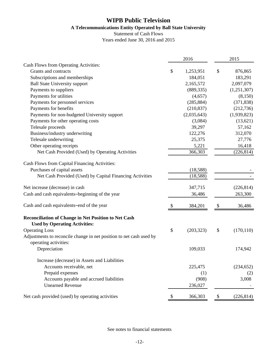# **A Telecommunications Entity Operated by Ball State University**

Statement of Cash Flows

Years ended June 30, 2016 and 2015

|                                                                     | 2016             | 2015             |  |
|---------------------------------------------------------------------|------------------|------------------|--|
| Cash Flows from Operating Activities:                               |                  |                  |  |
| Grants and contracts                                                | \$<br>1,253,951  | \$<br>876,865    |  |
| Subscriptions and memberships                                       | 184,051          | 183,291          |  |
| <b>Ball State University support</b>                                | 2,165,572        | 2,097,079        |  |
| Payments to suppliers                                               | (889, 335)       | (1,251,307)      |  |
| Payments for utilities                                              | (4,657)          | (8,150)          |  |
| Payments for personnel services                                     | (285, 884)       | (371, 838)       |  |
| Payments for benefits                                               | (210, 837)       | (212, 736)       |  |
| Payments for non-budgeted University support                        | (2,035,643)      | (1,939,823)      |  |
| Payments for other operating costs                                  | (3,084)          | (13, 621)        |  |
| Telesale proceeds                                                   | 39,297           | 57,162           |  |
| Business/industry underwriting                                      | 122,276          | 312,070          |  |
| Telesale underwriting                                               | 25,375           | 27,776           |  |
| Other operating receipts                                            | 5,221            | 16,418           |  |
| Net Cash Provided (Used) by Operating Activities                    | 366,303          | (226, 814)       |  |
| Cash Flows from Capital Financing Activities:                       |                  |                  |  |
| Purchases of capital assets                                         | (18,588)         |                  |  |
| Net Cash Provided (Used) by Capital Financing Activities            | (18, 588)        |                  |  |
|                                                                     |                  |                  |  |
| Net increase (decrease) in cash                                     | 347,715          | (226, 814)       |  |
| Cash and cash equivalents-beginning of the year                     | 36,486           | 263,300          |  |
| Cash and cash equivalents-end of the year                           | \$<br>384,201    | \$<br>36,486     |  |
| Reconciliation of Change in Net Position to Net Cash                |                  |                  |  |
| <b>Used by Operating Activities:</b>                                |                  |                  |  |
| <b>Operating Loss</b>                                               | \$<br>(203, 323) | \$<br>(170, 110) |  |
| Adjustments to reconcile change in net position to net cash used by |                  |                  |  |
| operating activities:                                               |                  |                  |  |
| Depreciation                                                        | 109,033          | 174,942          |  |
| Increase (decrease) in Assets and Liabilities                       |                  |                  |  |
| Accounts receivable, net                                            | 225,475          | (234, 652)       |  |
| Prepaid expenses                                                    | (1)              | (2)              |  |
| Accounts payable and accrued liabilities                            | (908)            | 3,008            |  |
| <b>Unearned Revenue</b>                                             | 236,027          |                  |  |
| Net cash provided (used) by operating activities                    | \$<br>366,303    | \$<br>(226, 814) |  |
|                                                                     |                  |                  |  |

See notes to financial statements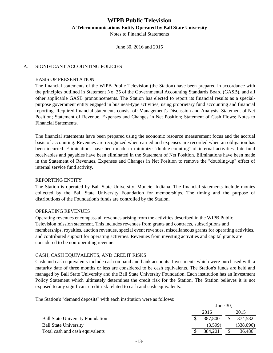#### **A Telecommunications Entity Operated by Ball State University**

Notes to Financial Statements

June 30, 2016 and 2015

#### A. SIGNIFICANT ACCOUNTING POLICIES

#### BASIS OF PRESENTATION

The financial statements of the WIPB Public Television (the Station) have been prepared in accordance with the principles outlined in Statement No. 35 of the Governmental Accounting Standards Board (GASB), and all other applicable GASB pronouncements. The Station has elected to report its financial results as a specialpurpose government entity engaged in business-type activities, using proprietary fund accounting and financial reporting. Required financial statements consist of: Management's Discussion and Analysis; Statement of Net Position; Statement of Revenue, Expenses and Changes in Net Position; Statement of Cash Flows; Notes to Financial Statements.

The financial statements have been prepared using the economic resource measurement focus and the accrual basis of accounting. Revenues are recognized when earned and expenses are recorded when an obligation has been incurred. Eliminations have been made to minimize "double-counting" of internal activities. Interfund receivables and payables have been eliminated in the Statement of Net Position. Eliminations have been made in the Statement of Revenues, Expenses and Changes in Net Position to remove the "doubling-up" effect of internal service fund activity.

#### REPORTING ENTITY

The Station is operated by Ball State University, Muncie, Indiana. The financial statements include monies collected by the Ball State University Foundation for memberships. The timing and the purpose of distributions of the Foundation's funds are controlled by the Station.

#### OPERATING REVENUES

Operating revenues encompass all revenues arising from the activities described in the WIPB Public Television mission statement. This includes revenues from grants and contracts, subscriptions and memberships, royalties, auction revenues, special event revenues, miscellaneous grants for operating activities, and contributed support for operating activities. Revenues from investing activities and capital grants are considered to be non-operating revenue.

#### CASH, CASH EQUIVALENTS, AND CREDIT RISKS

Cash and cash equivalents include cash on hand and bank accounts. Investments which were purchased with a maturity date of three months or less are considered to be cash equivalents. The Station's funds are held and managed by Ball State University and the Ball State University Foundation. Each institution has an Investment Policy Statement which ultimately determines the credit risk for the Station. The Station believes it is not exposed to any significant credit risk related to cash and cash equivalents.

The Station's "demand deposits" with each institution were as follows:

|                                         | June $30$ . |  |           |  |  |
|-----------------------------------------|-------------|--|-----------|--|--|
|                                         | 2016        |  | 2015      |  |  |
| <b>Ball State University Foundation</b> | 387,800     |  | 374,582   |  |  |
| <b>Ball State University</b>            | (3.599)     |  | (338,096) |  |  |
| Total cash and cash equivalents         | 384,201     |  | 36,486    |  |  |
|                                         |             |  |           |  |  |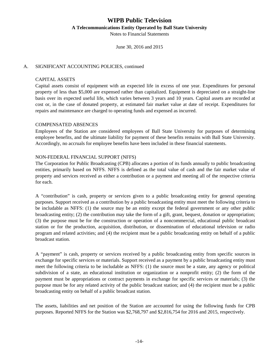#### **A Telecommunications Entity Operated by Ball State University**

Notes to Financial Statements

June 30, 2016 and 2015

#### A. SIGNIFICANT ACCOUNTING POLICIES, continued

#### CAPITAL ASSETS

Capital assets consist of equipment with an expected life in excess of one year. Expenditures for personal property of less than \$5,000 are expensed rather than capitalized. Equipment is depreciated on a straight-line basis over its expected useful life, which varies between 3 years and 10 years. Capital assets are recorded at cost or, in the case of donated property, at estimated fair market value at date of receipt. Expenditures for repairs and maintenance are charged to operating funds and expensed as incurred.

#### COMPENSATED ABSENCES

Employees of the Station are considered employees of Ball State University for purposes of determining employee benefits, and the ultimate liability for payment of these benefits remains with Ball State University. Accordingly, no accruals for employee benefits have been included in these financial statements.

#### NON-FEDERAL FINANCIAL SUPPORT (NFFS)

The Corporation for Public Broadcasting (CPB) allocates a portion of its funds annually to public broadcasting entities, primarily based on NFFS. NFFS is defined as the total value of cash and the fair market value of property and services received as either a contribution or a payment and meeting all of the respective criteria for each.

A "contribution" is cash, property or services given to a public broadcasting entity for general operating purposes. Support received as a contribution by a public broadcasting entity must meet the following criteria to be includable as NFFS: (1) the source may be an entity except the federal government or any other public broadcasting entity; (2) the contribution may take the form of a gift, grant, bequest, donation or appropriation; (3) the purpose must be for the construction or operation of a noncommercial, educational public broadcast station or for the production, acquisition, distribution, or dissemination of educational television or radio program and related activities; and (4) the recipient must be a public broadcasting entity on behalf of a public broadcast station.

A "payment" is cash, property or services received by a public broadcasting entity from specific sources in exchange for specific services or materials. Support received as a payment by a public broadcasting entity must meet the following criteria to be includable as NFFS: (1) the source must be a state, any agency or political subdivision of a state, an educational institution or organization or a nonprofit entity; (2) the form of the payment must be appropriations or contract payments in exchange for specific services or materials; (3) the purpose must be for any related activity of the public broadcast station; and (4) the recipient must be a public broadcasting entity on behalf of a public broadcast station.

The assets, liabilities and net position of the Station are accounted for using the following funds for CPB purposes. Reported NFFS for the Station was \$2,768,797 and \$2,816,754 for 2016 and 2015, respectively.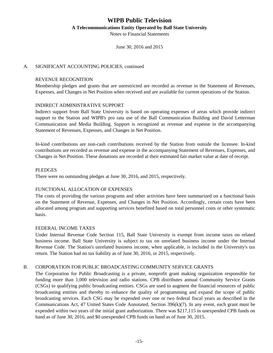#### **A Telecommunications Entity Operated by Ball State University**

Notes to Financial Statements

June 30, 2016 and 2015

#### A. SIGNIFICANT ACCOUNTING POLICIES, continued

#### REVENUE RECOGNITION

Membership pledges and grants that are unrestricted are recorded as revenue in the Statement of Revenues, Expenses, and Changes in Net Position when received and are available for current operations of the Station.

#### INDIRECT ADMINISTRATIVE SUPPORT

Indirect support from Ball State University is based on operating expenses of areas which provide indirect support to the Station and WIPB's pro rata use of the Ball Communication Building and David Letterman Communication and Media Building. Support is recognized as revenue and expense in the accompanying Statement of Revenues, Expenses, and Changes in Net Position.

In-kind contributions are non-cash contributions received by the Station from outside the licensee. In-kind contributions are recorded as revenue and expense in the accompanying Statement of Revenues, Expenses, and Changes in Net Position. These donations are recorded at their estimated fair market value at date of receipt.

#### PLEDGES

There were no outstanding pledges at June 30, 2016, and 2015, respectively.

#### FUNCTIONAL ALLOCATION OF EXPENSES

The costs of providing the various programs and other activities have been summarized on a functional basis on the Statement of Revenue, Expenses, and Changes in Net Position. Accordingly, certain costs have been allocated among program and supporting services benefited based on total personnel costs or other systematic basis.

#### FEDERAL INCOME TAXES

Under Internal Revenue Code Section 115, Ball State University is exempt from income taxes on related business income. Ball State University is subject to tax on unrelated business income under the Internal Revenue Code. The Station's unrelated business income, when applicable, is included in the University's tax return. The Station had no tax liability as of June 30, 2016, or 2015, respectively.

#### B. CORPORATION FOR PUBLIC BROADCASTING COMMUNITY SERVICE GRANTS

The Corporation for Public Broadcasting is a private, nonprofit grant making organization responsible for funding more than 1,000 television and radio stations. CPB distributes annual Community Service Grants (CSGs) to qualifying public broadcasting entities. CSGs are used to augment the financial resources of public broadcasting entities and thereby to enhance the quality of programming and expand the scope of public broadcasting services. Each CSG may be expended over one or two federal fiscal years as described in the Communications Act, 47 United States Code Annotated, Section 396(k)(7). In any event, each grant must be expended within two years of the initial grant authorization. There was \$217,115 in unexpended CPB funds on hand as of June 30, 2016, and \$0 unexpended CPB funds on hand as of June 30, 2015.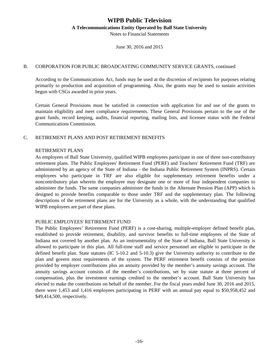#### **A Telecommunications Entity Operated by Ball State University**

Notes to Financial Statements

June 30, 2016 and 2015

#### B. CORPORATION FOR PUBLIC BROADCASTING COMMUNITY SERVICE GRANTS, continued

According to the Communications Act, funds may be used at the discretion of recipients for purposes relating primarily to production and acquisition of programming. Also, the grants may be used to sustain activities begun with CSGs awarded in prior years.

Certain General Provisions must be satisfied in connection with application for and use of the grants to maintain eligibility and meet compliance requirements. These General Provisions pertain to the use of the grant funds, record keeping, audits, financial reporting, mailing lists, and licensee status with the Federal Communications Commission.

#### C. RETIREMENT PLANS AND POST RETIREMENT BENEFITS

#### RETIREMENT PLANS

As employees of Ball State University, qualified WIPB employees participate in one of three non-contributory retirement plans. The Public Employees' Retirement Fund (PERF) and Teachers' Retirement Fund (TRF) are administered by an agency of the State of Indiana - the Indiana Public Retirement System (INPRS). Certain employees who participate in TRF are also eligible for supplementary retirement benefits under a noncontributory plan wherein the employee may designate one or more of four independent companies to administer the funds. The same companies administer the funds in the Alternate Pension Plan (APP) which is designed to provide benefits comparable to those under TRF and the supplementary plan. The following descriptions of the retirement plans are for the University as a whole, with the understanding that qualified WIPB employees are part of these plans.

#### PUBLIC EMPLOYEES' RETIREMENT FUND

The Public Employees' Retirement Fund (PERF) is a cost-sharing, multiple-employer defined benefit plan, established to provide retirement, disability, and survivor benefits to full-time employees of the State of Indiana not covered by another plan. As an instrumentality of the State of Indiana, Ball State University is allowed to participate in this plan. All full-time staff and service personnel are eligible to participate in the defined benefit plan. State statutes (IC 5-10.2 and 5-10.3) give the University authority to contribute to the plan and govern most requirements of the system. The PERF retirement benefit consists of the pension provided by employer contributions plus an annuity provided by the member's annuity savings account. The annuity savings account consists of the member's contributions, set by state statute at three percent of compensation, plus the investment earnings credited to the member's account. Ball State University has elected to make the contributions on behalf of the member. For the fiscal years ended June 30, 2016 and 2015, there were 1,453 and 1,416 employees participating in PERF with an annual pay equal to \$50,958,452 and \$49,414,500, respectively.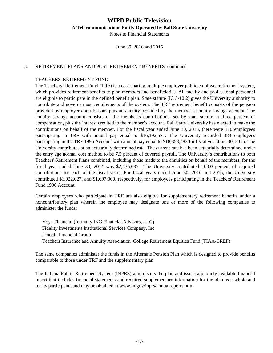#### **A Telecommunications Entity Operated by Ball State University**

Notes to Financial Statements

June 30, 2016 and 2015

#### C. RETIREMENT PLANS AND POST RETIREMENT BENEFITS, continued

#### TEACHERS' RETIREMENT FUND

The Teachers' Retirement Fund (TRF) is a cost-sharing, multiple employer public employee retirement system, which provides retirement benefits to plan members and beneficiaries. All faculty and professional personnel are eligible to participate in the defined benefit plan. State statute (IC 5-10.2) gives the University authority to contribute and governs most requirements of the system. The TRF retirement benefit consists of the pension provided by employer contributions plus an annuity provided by the member's annuity savings account. The annuity savings account consists of the member's contributions, set by state statute at three percent of compensation, plus the interest credited to the member's account. Ball State University has elected to make the contributions on behalf of the member. For the fiscal year ended June 30, 2015, there were 310 employees participating in TRF with annual pay equal to \$16,192,571. The University recorded 383 employees participating in the TRF 1996 Account with annual pay equal to \$18,353,483 for fiscal year June 30, 2016. The University contributes at an actuarially determined rate. The current rate has been actuarially determined under the entry age normal cost method to be 7.5 percent of covered payroll. The University's contributions to both Teachers' Retirement Plans combined, including those made to the annuities on behalf of the members, for the fiscal year ended June 30, 2014 was \$2,436,635. The University contributed 100.0 percent of required contributions for each of the fiscal years. For fiscal years ended June 30, 2016 and 2015, the University contributed \$1,922,027, and \$1,697,009, respectively, for employees participating in the Teachers' Retirement Fund 1996 Account.

Certain employees who participate in TRF are also eligible for supplementary retirement benefits under a noncontributory plan wherein the employee may designate one or more of the following companies to administer the funds:

Voya Financial (formally ING Financial Advisors, LLC) Fidelity Investments Institutional Services Company, Inc. Lincoln Financial Group Teachers Insurance and Annuity Association–College Retirement Equities Fund (TIAA-CREF)

The same companies administer the funds in the Alternate Pension Plan which is designed to provide benefits comparable to those under TRF and the supplementary plan.

The Indiana Public Retirement System (INPRS) administers the plan and issues a publicly available financial report that includes financial statements and required supplementary information for the plan as a whole and for its participants and may be obtained at www.in.gov/inprs/annualreports.htm.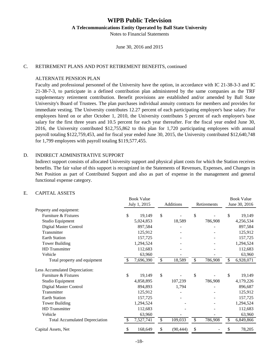#### **A Telecommunications Entity Operated by Ball State University**

Notes to Financial Statements

June 30, 2016 and 2015

#### C. RETIREMENT PLANS AND POST RETIREMENT BENEFITS, continued

#### ALTERNATE PENSION PLAN

Faculty and professional personnel of the University have the option, in accordance with IC 21-38-3-3 and IC 21-38-7-3, to participate in a defined contribution plan administered by the same companies as the TRF supplementary retirement contribution. Benefit provisions are established and/or amended by Ball State University's Board of Trustees. The plan purchases individual annuity contracts for members and provides for immediate vesting. The University contributes 12.27 percent of each participating employee's base salary. For employees hired on or after October 1, 2010, the University contributes 5 percent of each employee's base salary for the first three years and 10.5 percent for each year thereafter. For the fiscal year ended June 30, 2016, the University contributed \$12,755,862 to this plan for 1,720 participating employees with annual payroll totaling \$122,759,453, and for fiscal year ended June 30, 2015, the University contributed \$12,640,748 for 1,799 employees with payroll totaling \$119,577,455.

#### D. INDIRECT ADMINISTRATIVE SUPPORT

Indirect support consists of allocated University support and physical plant costs for which the Station receives benefits. The fair value of this support is recognized in the Statements of Revenues, Expenses, and Changes in Net Position as part of Contributed Support and also as part of expense in the management and general functional expense category.

#### E. CAPITAL ASSETS

|                                       |              | <b>Book Value</b> |               |                          |             |              | <b>Book Value</b> |
|---------------------------------------|--------------|-------------------|---------------|--------------------------|-------------|--------------|-------------------|
|                                       |              | July 1, 2015      | Additions     |                          | Retirements |              | June 30, 2016     |
| Property and equipment:               |              |                   |               |                          |             |              |                   |
| Furniture & Fixtures                  | \$           | 19,149            | \$            | \$                       |             | \$           | 19,149            |
| Studio Equipment                      |              | 5,024,853         | 18,589        |                          | 786,908     |              | 4,256,534         |
| <b>Digital Master Control</b>         |              | 897,584           |               |                          |             |              | 897,584           |
| Transmitter                           |              | 125,912           |               |                          |             |              | 125,912           |
| <b>Earth Station</b>                  |              | 157,725           |               |                          |             |              | 157,725           |
| <b>Tower Building</b>                 |              | 1,294,524         |               |                          |             |              | 1,294,524         |
| <b>HD</b> Transmitter                 |              | 112,683           |               |                          |             |              | 112,683           |
| Vehicle                               |              | 63,960            |               |                          |             |              | 63,960            |
| Total property and equipment          | S.           | 7,696,390         | \$<br>18,589  | \$                       | 786,908     | $\mathbb{S}$ | 6,928,071         |
| Less Accumulated Depreciation:        |              |                   |               |                          |             |              |                   |
| Furniture & Fixtures                  | $\mathbb{S}$ | 19,149            | \$            | \$                       |             | \$           | 19,149            |
| Studio Equipment                      |              | 4,858,895         | 107,239       |                          | 786,908     |              | 4,179,226         |
| Digital Master Control                |              | 894,893           | 1,794         |                          |             |              | 896,687           |
| Transmitter                           |              | 125,912           |               |                          |             |              | 125,912           |
| <b>Earth Station</b>                  |              | 157,725           |               |                          |             |              | 157,725           |
| Tower Building                        |              | 1,294,524         |               |                          |             |              | 1,294,524         |
| HD Transmitter                        |              | 112,683           |               |                          |             |              | 112,683           |
| Vehicle                               |              | 63,960            |               |                          |             |              | 63,960            |
| <b>Total Accumulated Depreciation</b> | S            | 7,527,741         | \$<br>109,033 | $\overline{\mathcal{S}}$ | 786,908     | S            | 6,849,866         |
| Capital Assets, Net                   | S            | 168,649           | (90, 444)     | \$                       |             |              | 78,205            |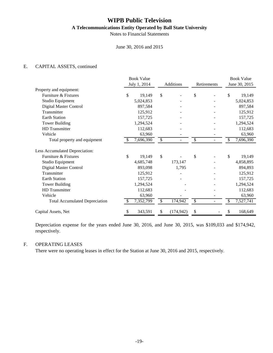#### **A Telecommunications Entity Operated by Ball State University**

Notes to Financial Statements

June 30, 2016 and 2015

#### E. CAPITAL ASSETS, continued

|                                       |     | <b>Book Value</b> |                          |            |                          |                | <b>Book Value</b> |
|---------------------------------------|-----|-------------------|--------------------------|------------|--------------------------|----------------|-------------------|
|                                       |     | July 1, 2014      |                          | Additions  |                          | Retirements    | June 30, 2015     |
| Property and equipment:               |     |                   |                          |            |                          |                |                   |
| Furniture & Fixtures                  | \$  | 19,149            | \$                       |            | \$                       |                | \$<br>19,149      |
| Studio Equipment                      |     | 5,024,853         |                          |            |                          |                | 5,024,853         |
| Digital Master Control                |     | 897,584           |                          |            |                          |                | 897,584           |
| Transmitter                           |     | 125,912           |                          |            |                          |                | 125,912           |
| <b>Earth Station</b>                  |     | 157,725           |                          |            |                          |                | 157,725           |
| <b>Tower Building</b>                 |     | 1,294,524         |                          |            |                          |                | 1,294,524         |
| HD Transmitter                        |     | 112,683           |                          |            |                          |                | 112,683           |
| Vehicle                               |     | 63,960            |                          |            |                          |                | 63,960            |
| Total property and equipment          | -S  | 7,696,390         | $\overline{\mathcal{S}}$ | ÷.         | $\overline{\mathcal{S}}$ | $\overline{a}$ | \$<br>7,696,390   |
| Less Accumulated Depreciation:        |     |                   |                          |            |                          |                |                   |
| Furniture & Fixtures                  | \$  | 19,149            | $\mathcal{S}$            |            | \$                       |                | \$<br>19,149      |
| Studio Equipment                      |     | 4,685,748         |                          | 173,147    |                          |                | 4,858,895         |
| Digital Master Control                |     | 893,098           |                          | 1,795      |                          |                | 894,893           |
| Transmitter                           |     | 125,912           |                          |            |                          |                | 125,912           |
| <b>Earth Station</b>                  |     | 157,725           |                          |            |                          |                | 157,725           |
| Tower Building                        |     | 1,294,524         |                          |            |                          |                | 1,294,524         |
| HD Transmitter                        |     | 112,683           |                          |            |                          |                | 112,683           |
| Vehicle                               |     | 63,960            |                          |            |                          |                | 63,960            |
| <b>Total Accumulated Depreciation</b> | -\$ | 7,352,799         | \$                       | 174,942    | $\overline{\$}$          |                | \$<br>7,527,741   |
| Capital Assets, Net                   | \$  | 343,591           | \$                       | (174, 942) | \$                       |                | \$<br>168,649     |

Depreciation expense for the years ended June 30, 2016, and June 30, 2015, was \$109,033 and \$174,942, respectively.

#### F. OPERATING LEASES

There were no operating leases in effect for the Station at June 30, 2016 and 2015, respectively.